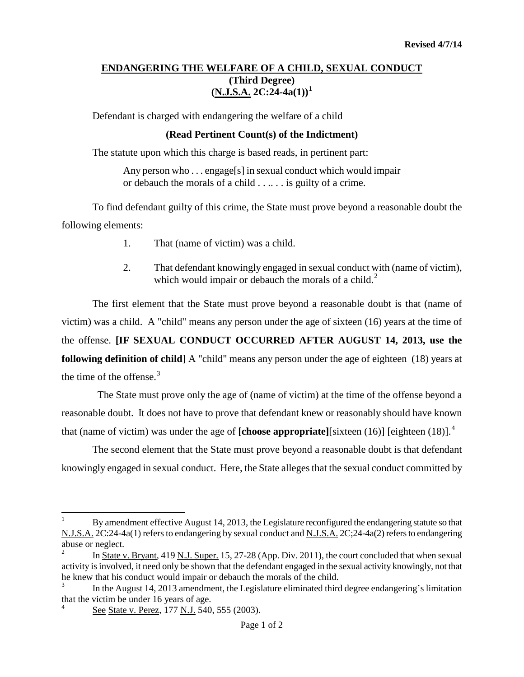## **ENDANGERING THE WELFARE OF A CHILD, SEXUAL CONDUCT (Third Degree) (N.J.S.A. 2C:24-4a(1)) [1](#page-1-0)**

Defendant is charged with endangering the welfare of a child

## **(Read Pertinent Count(s) of the Indictment)**

The statute upon which this charge is based reads, in pertinent part:

Any person who ... engage[s] in sexual conduct which would impair or debauch the morals of a child . . .. . . is guilty of a crime.

To find defendant guilty of this crime, the State must prove beyond a reasonable doubt the following elements:

- 1. That (name of victim) was a child.
- 2. That defendant knowingly engaged in sexual conduct with (name of victim), which would impair or debauch the morals of a child.<sup>[2](#page-0-0)</sup>

The first element that the State must prove beyond a reasonable doubt is that (name of victim) was a child. A "child" means any person under the age of sixteen (16) years at the time of the offense. **[IF SEXUAL CONDUCT OCCURRED AFTER AUGUST 14, 2013, use the following definition of child]** A "child" means any person under the age of eighteen (18) years at the time of the offense. [3](#page-0-1)

 The State must prove only the age of (name of victim) at the time of the offense beyond a reasonable doubt. It does not have to prove that defendant knew or reasonably should have known that (name of victim) was under the age of **[choose appropriate]**[sixteen (16)] [eighteen (18)]. [4](#page-0-2)

The second element that the State must prove beyond a reasonable doubt is that defendant knowingly engaged in sexual conduct. Here, the State alleges that the sexual conduct committed by

t <sup>1</sup> By amendment effective August 14, 2013, the Legislature reconfigured the endangering statute so that N.J.S.A. 2C:24-4a(1) refers to endangering by sexual conduct and N.J.S.A. 2C;24-4a(2) refers to endangering abuse or neglect.

<span id="page-0-3"></span><span id="page-0-0"></span><sup>2</sup> In State v. Bryant, 419 N.J. Super. 15, 27-28 (App. Div. 2011), the court concluded that when sexual activity is involved, it need only be shown that the defendant engaged in the sexual activity knowingly, not that he knew that his conduct would impair or debauch the morals of the child.

<span id="page-0-1"></span>In the August 14, 2013 amendment, the Legislature eliminated third degree endangering's limitation that the victim be under 16 years of age.

<span id="page-0-2"></span><sup>4</sup> See State v. Perez, 177 N.J. 540, 555 (2003).